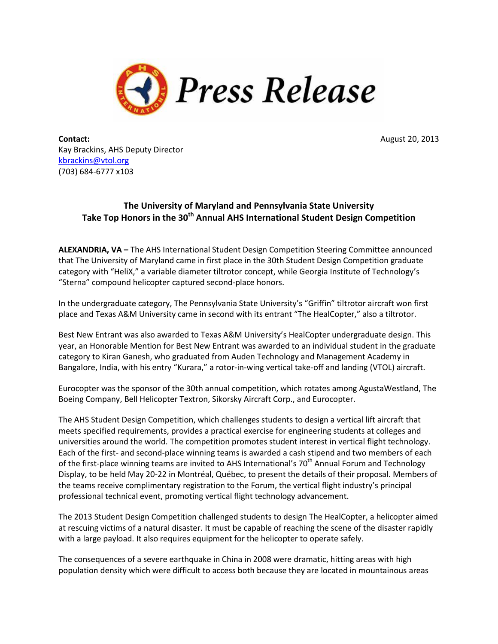

**Contact:** August 20, 2013 Kay Brackins, AHS Deputy Director [kbrackins@vtol.org](mailto:kbrackins@vtol.org) (703) 684-6777 x103

## **The University of Maryland and Pennsylvania State University Take Top Honors in the 30th Annual AHS International Student Design Competition**

**ALEXANDRIA, VA –** The AHS International Student Design Competition Steering Committee announced that The University of Maryland came in first place in the 30th Student Design Competition graduate category with "HeliX," a variable diameter tiltrotor concept, while Georgia Institute of Technology's "Sterna" compound helicopter captured second-place honors.

In the undergraduate category, The Pennsylvania State University's "Griffin" tiltrotor aircraft won first place and Texas A&M University came in second with its entrant "The HealCopter," also a tiltrotor.

Best New Entrant was also awarded to Texas A&M University's HealCopter undergraduate design. This year, an Honorable Mention for Best New Entrant was awarded to an individual student in the graduate category to Kiran Ganesh, who graduated from Auden Technology and Management Academy in Bangalore, India, with his entry "Kurara," a rotor-in-wing vertical take-off and landing (VTOL) aircraft.

Eurocopter was the sponsor of the 30th annual competition, which rotates among AgustaWestland, The Boeing Company, Bell Helicopter Textron, Sikorsky Aircraft Corp., and Eurocopter.

The AHS Student Design Competition, which challenges students to design a vertical lift aircraft that meets specified requirements, provides a practical exercise for engineering students at colleges and universities around the world. The competition promotes student interest in vertical flight technology. Each of the first- and second-place winning teams is awarded a cash stipend and two members of each of the first-place winning teams are invited to AHS International's  $70<sup>th</sup>$  Annual Forum and Technology Display, to be held May 20-22 in Montréal, Québec, to present the details of their proposal. Members of the teams receive complimentary registration to the Forum, the vertical flight industry's principal professional technical event, promoting vertical flight technology advancement.

The 2013 Student Design Competition challenged students to design The HealCopter, a helicopter aimed at rescuing victims of a natural disaster. It must be capable of reaching the scene of the disaster rapidly with a large payload. It also requires equipment for the helicopter to operate safely.

The consequences of a severe earthquake in China in 2008 were dramatic, hitting areas with high population density which were difficult to access both because they are located in mountainous areas